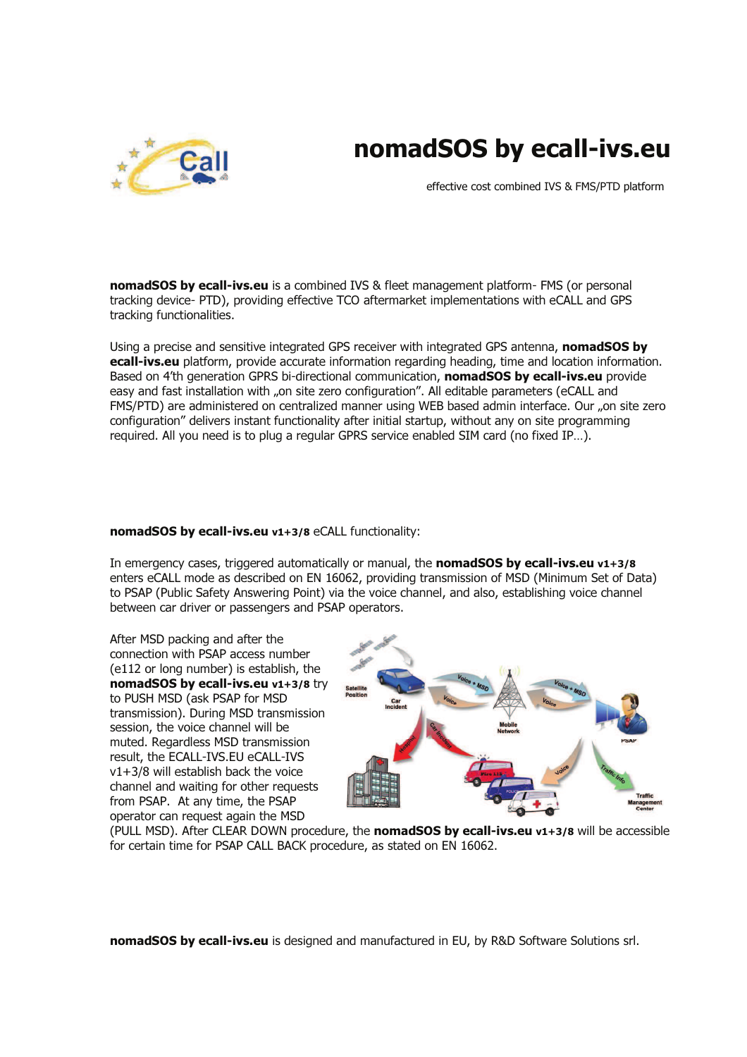



effective cost combined IVS & FMS/PTD platform

nomadSOS by ecall-ivs.eu is a combined IVS & fleet management platform- FMS (or personal tracking device- PTD), providing effective TCO aftermarket implementations with eCALL and GPS tracking functionalities.

Using a precise and sensitive integrated GPS receiver with integrated GPS antenna, nomadSOS by ecall-ivs.eu platform, provide accurate information regarding heading, time and location information. Based on 4'th generation GPRS bi-directional communication, nomadSOS by ecall-ivs.eu provide easy and fast installation with "on site zero configuration". All editable parameters (eCALL and FMS/PTD) are administered on centralized manner using WEB based admin interface. Our "on site zero configuration" delivers instant functionality after initial startup, without any on site programming required. All you need is to plug a regular GPRS service enabled SIM card (no fixed IP…).

#### nomadSOS by ecall-ivs.eu v1+3/8 eCALL functionality:

In emergency cases, triggered automatically or manual, the **nomadSOS by ecall-ivs.eu v1+3/8** enters eCALL mode as described on EN 16062, providing transmission of MSD (Minimum Set of Data) to PSAP (Public Safety Answering Point) via the voice channel, and also, establishing voice channel between car driver or passengers and PSAP operators.

After MSD packing and after the connection with PSAP access number (e112 or long number) is establish, the nomadSOS by ecall-ivs.eu v1+3/8 try to PUSH MSD (ask PSAP for MSD transmission). During MSD transmission session, the voice channel will be muted. Regardless MSD transmission result, the ECALL-IVS.EU eCALL-IVS v1+3/8 will establish back the voice channel and waiting for other requests from PSAP. At any time, the PSAP operator can request again the MSD



(PULL MSD). After CLEAR DOWN procedure, the **nomadSOS by ecall-ivs.eu v1+3/8** will be accessible for certain time for PSAP CALL BACK procedure, as stated on EN 16062.

nomadSOS by ecall-ivs.eu is designed and manufactured in EU, by R&D Software Solutions srl.